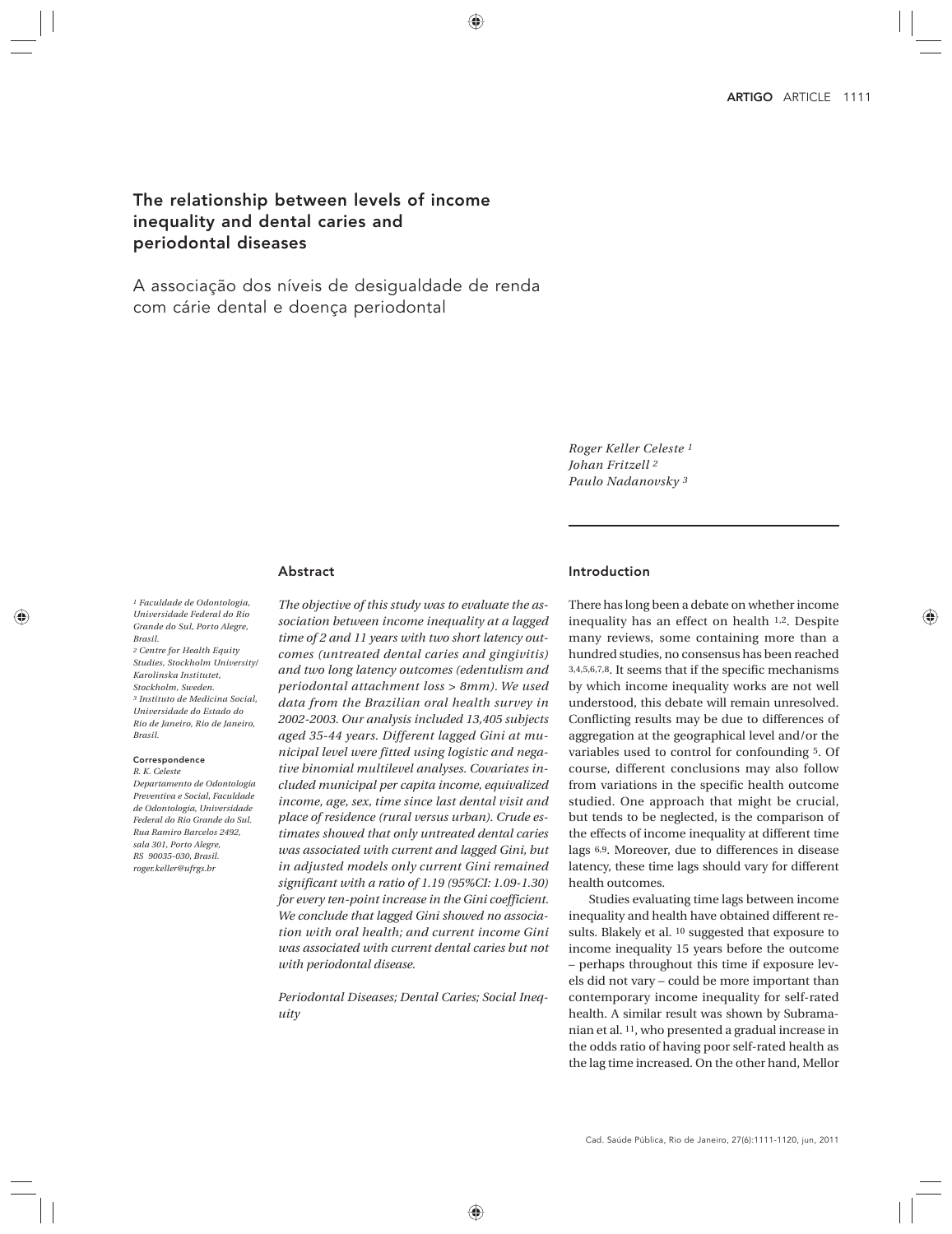# The relationship between levels of income inequality and dental caries and periodontal diseases

A associação dos níveis de desigualdade de renda com cárie dental e doença periodontal

> *Roger Keller Celeste 1 Johan Fritzell 2 Paulo Nadanovsky 3*

### Abstract

*1 Faculdade de Odontologia, Universidade Federal do Rio Grande do Sul, Porto Alegre, Brasil. 2 Centre for Health Equity* 

*Studies, Stockholm University/ Karolinska Institutet, Stockholm, Sweden. 3 Instituto de Medicina Social, Universidade do Estado do Rio de Janeiro, Rio de Janeiro, Brasil.*

#### Correspondence *R. K. Celeste*

*Departamento de Odontologia Preventiva e Social, Faculdade de Odontologia, Universidade Federal do Rio Grande do Sul. Rua Ramiro Barcelos 2492, sala 301, Porto Alegre, RS 90035-030, Brasil. roger.keller@ufrgs.br*

*The objective of this study was to evaluate the association between income inequality at a lagged time of 2 and 11 years with two short latency outcomes (untreated dental caries and gingivitis) and two long latency outcomes (edentulism and periodontal attachment loss > 8mm). We used data from the Brazilian oral health survey in 2002-2003. Our analysis included 13,405 subjects aged 35-44 years. Different lagged Gini at municipal level were fitted using logistic and negative binomial multilevel analyses. Covariates included municipal per capita income, equivalized income, age, sex, time since last dental visit and place of residence (rural versus urban). Crude estimates showed that only untreated dental caries was associated with current and lagged Gini, but in adjusted models only current Gini remained significant with a ratio of 1.19 (95%CI: 1.09-1.30) for every ten-point increase in the Gini coefficient. We conclude that lagged Gini showed no association with oral health; and current income Gini was associated with current dental caries but not with periodontal disease.*

*Periodontal Diseases; Dental Caries; Social Inequity*

### Introduction

There has long been a debate on whether income inequality has an effect on health 1,2. Despite many reviews, some containing more than a hundred studies, no consensus has been reached 3,4,5,6,7,8. It seems that if the specific mechanisms by which income inequality works are not well understood, this debate will remain unresolved. Conflicting results may be due to differences of aggregation at the geographical level and/or the variables used to control for confounding 5. Of course, different conclusions may also follow from variations in the specific health outcome studied. One approach that might be crucial, but tends to be neglected, is the comparison of the effects of income inequality at different time lags 6,9. Moreover, due to differences in disease latency, these time lags should vary for different health outcomes.

Studies evaluating time lags between income inequality and health have obtained different results. Blakely et al. 10 suggested that exposure to income inequality 15 years before the outcome – perhaps throughout this time if exposure levels did not vary – could be more important than contemporary income inequality for self-rated health. A similar result was shown by Subramanian et al. 11, who presented a gradual increase in the odds ratio of having poor self-rated health as the lag time increased. On the other hand, Mellor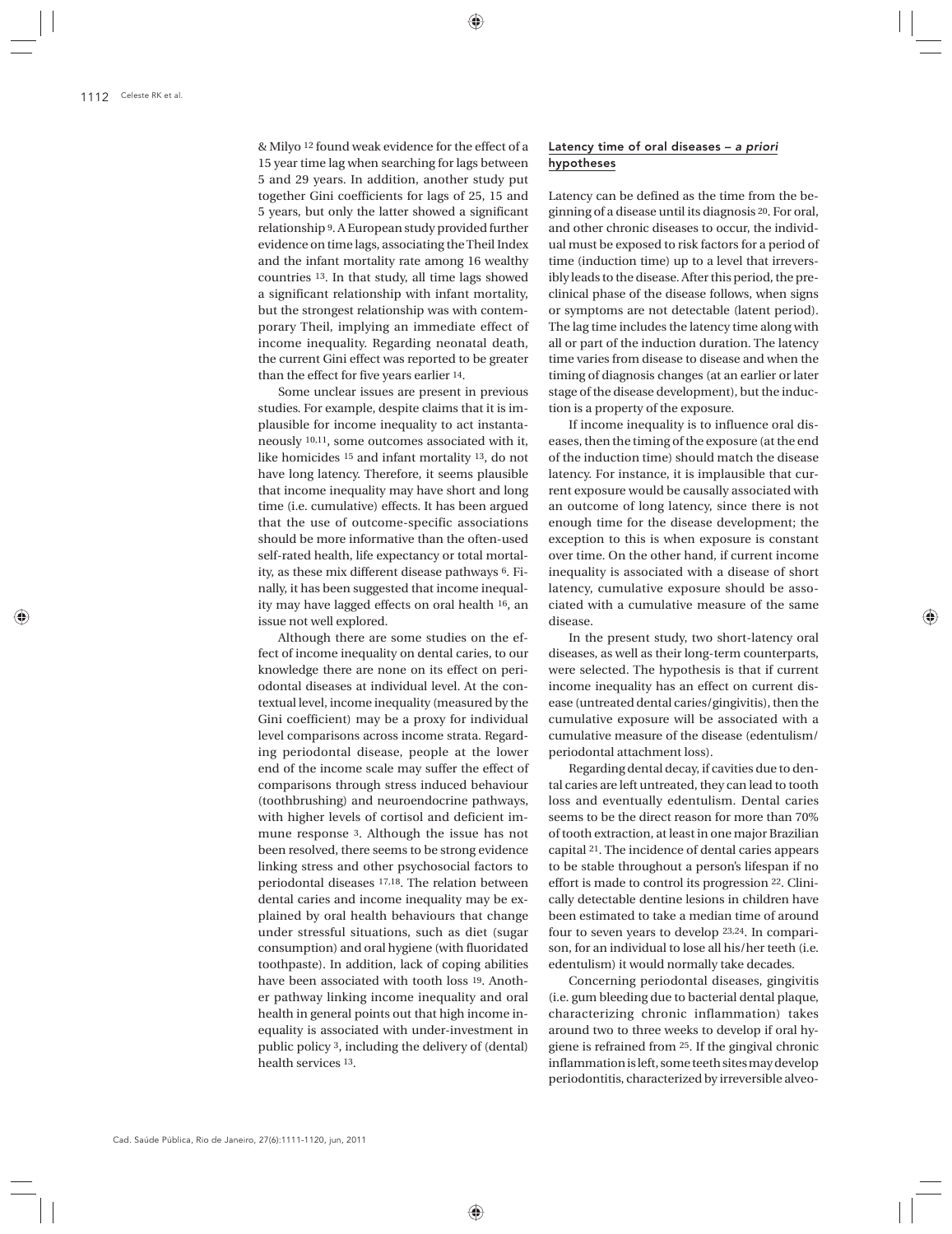& Milyo 12 found weak evidence for the effect of a 15 year time lag when searching for lags between 5 and 29 years. In addition, another study put together Gini coefficients for lags of 25, 15 and 5 years, but only the latter showed a significant relationship 9. A European study provided further evidence on time lags, associating the Theil Index and the infant mortality rate among 16 wealthy countries 13. In that study, all time lags showed a significant relationship with infant mortality, but the strongest relationship was with contemporary Theil, implying an immediate effect of income inequality. Regarding neonatal death, the current Gini effect was reported to be greater than the effect for five years earlier 14.

Some unclear issues are present in previous studies. For example, despite claims that it is implausible for income inequality to act instantaneously 10,11, some outcomes associated with it, like homicides 15 and infant mortality 13, do not have long latency. Therefore, it seems plausible that income inequality may have short and long time (i.e. cumulative) effects. It has been argued that the use of outcome-specific associations should be more informative than the often-used self-rated health, life expectancy or total mortality, as these mix different disease pathways 6. Finally, it has been suggested that income inequality may have lagged effects on oral health 16, an issue not well explored.

Although there are some studies on the effect of income inequality on dental caries, to our knowledge there are none on its effect on periodontal diseases at individual level. At the contextual level, income inequality (measured by the Gini coefficient) may be a proxy for individual level comparisons across income strata. Regarding periodontal disease, people at the lower end of the income scale may suffer the effect of comparisons through stress induced behaviour (toothbrushing) and neuroendocrine pathways, with higher levels of cortisol and deficient immune response 3. Although the issue has not been resolved, there seems to be strong evidence linking stress and other psychosocial factors to periodontal diseases 17,18. The relation between dental caries and income inequality may be explained by oral health behaviours that change under stressful situations, such as diet (sugar consumption) and oral hygiene (with fluoridated toothpaste). In addition, lack of coping abilities have been associated with tooth loss 19. Another pathway linking income inequality and oral health in general points out that high income inequality is associated with under-investment in public policy 3, including the delivery of (dental) health services 13.

# Latency time of oral diseases – *a priori* hypotheses

Latency can be defined as the time from the beginning of a disease until its diagnosis 20. For oral, and other chronic diseases to occur, the individual must be exposed to risk factors for a period of time (induction time) up to a level that irreversibly leads to the disease. After this period, the preclinical phase of the disease follows, when signs or symptoms are not detectable (latent period). The lag time includes the latency time along with all or part of the induction duration. The latency time varies from disease to disease and when the timing of diagnosis changes (at an earlier or later stage of the disease development), but the induction is a property of the exposure.

If income inequality is to influence oral diseases, then the timing of the exposure (at the end of the induction time) should match the disease latency. For instance, it is implausible that current exposure would be causally associated with an outcome of long latency, since there is not enough time for the disease development; the exception to this is when exposure is constant over time. On the other hand, if current income inequality is associated with a disease of short latency, cumulative exposure should be associated with a cumulative measure of the same disease.

In the present study, two short-latency oral diseases, as well as their long-term counterparts, were selected. The hypothesis is that if current income inequality has an effect on current disease (untreated dental caries/gingivitis), then the cumulative exposure will be associated with a cumulative measure of the disease (edentulism/ periodontal attachment loss).

Regarding dental decay, if cavities due to dental caries are left untreated, they can lead to tooth loss and eventually edentulism. Dental caries seems to be the direct reason for more than 70% of tooth extraction, at least in one major Brazilian capital 21. The incidence of dental caries appears to be stable throughout a person's lifespan if no effort is made to control its progression 22. Clinically detectable dentine lesions in children have been estimated to take a median time of around four to seven years to develop 23,24. In comparison, for an individual to lose all his/her teeth (i.e. edentulism) it would normally take decades.

Concerning periodontal diseases, gingivitis (i.e. gum bleeding due to bacterial dental plaque, characterizing chronic inflammation) takes around two to three weeks to develop if oral hygiene is refrained from 25. If the gingival chronic inflammation is left, some teeth sites may develop periodontitis, characterized by irreversible alveo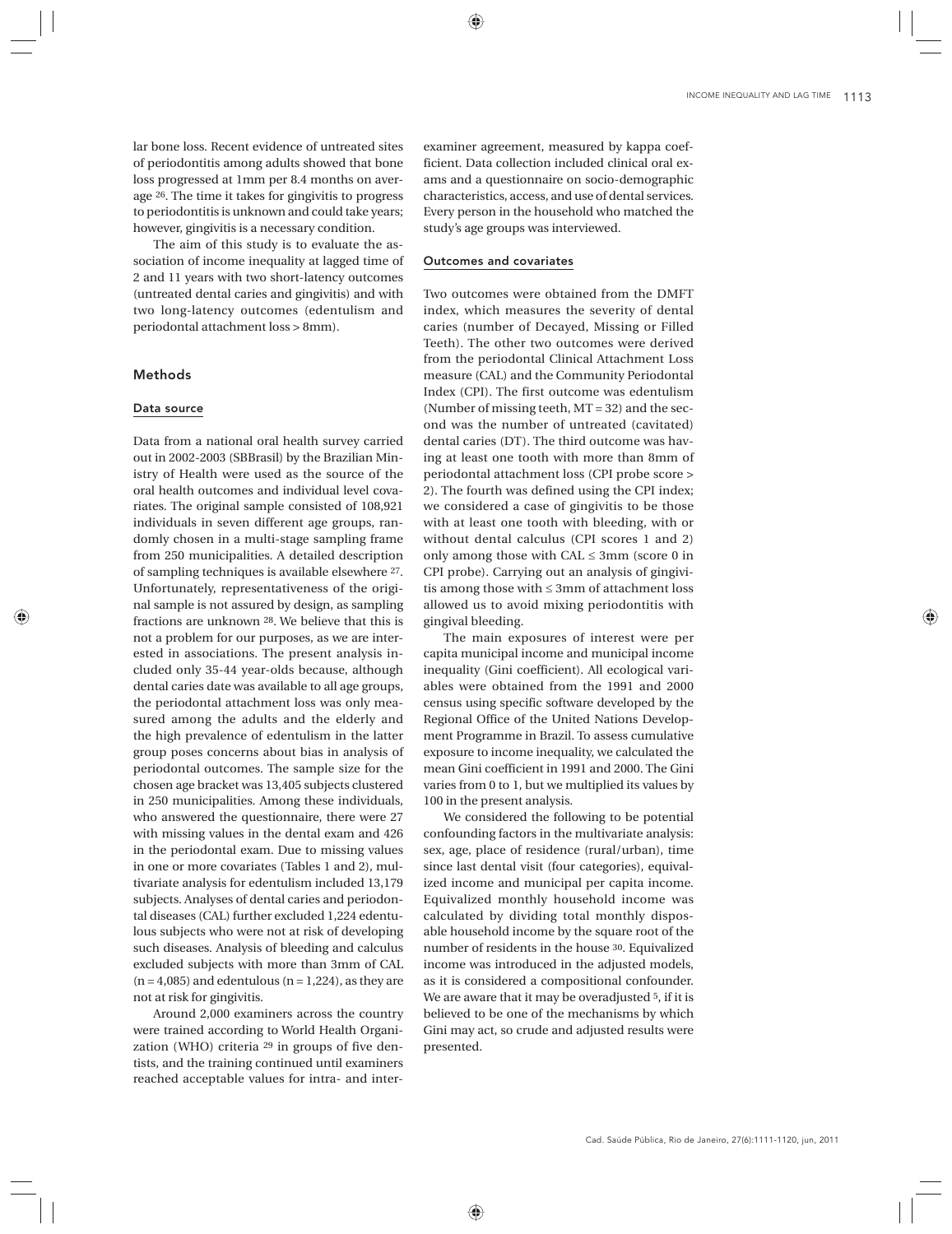lar bone loss. Recent evidence of untreated sites of periodontitis among adults showed that bone loss progressed at 1mm per 8.4 months on average 26. The time it takes for gingivitis to progress to periodontitis is unknown and could take years; however, gingivitis is a necessary condition.

The aim of this study is to evaluate the association of income inequality at lagged time of 2 and 11 years with two short-latency outcomes (untreated dental caries and gingivitis) and with two long-latency outcomes (edentulism and periodontal attachment loss > 8mm).

# Methods

# Data source

Data from a national oral health survey carried out in 2002-2003 (SBBrasil) by the Brazilian Ministry of Health were used as the source of the oral health outcomes and individual level covariates. The original sample consisted of 108,921 individuals in seven different age groups, randomly chosen in a multi-stage sampling frame from 250 municipalities. A detailed description of sampling techniques is available elsewhere 27. Unfortunately, representativeness of the original sample is not assured by design, as sampling fractions are unknown 28. We believe that this is not a problem for our purposes, as we are interested in associations. The present analysis included only 35-44 year-olds because, although dental caries date was available to all age groups, the periodontal attachment loss was only measured among the adults and the elderly and the high prevalence of edentulism in the latter group poses concerns about bias in analysis of periodontal outcomes. The sample size for the chosen age bracket was 13,405 subjects clustered in 250 municipalities. Among these individuals, who answered the questionnaire, there were 27 with missing values in the dental exam and 426 in the periodontal exam. Due to missing values in one or more covariates (Tables 1 and 2), multivariate analysis for edentulism included 13,179 subjects. Analyses of dental caries and periodontal diseases (CAL) further excluded 1,224 edentulous subjects who were not at risk of developing such diseases. Analysis of bleeding and calculus excluded subjects with more than 3mm of CAL  $(n = 4,085)$  and edentulous  $(n = 1,224)$ , as they are not at risk for gingivitis.

Around 2,000 examiners across the country were trained according to World Health Organization (WHO) criteria 29 in groups of five dentists, and the training continued until examiners reached acceptable values for intra- and inter-

examiner agreement, measured by kappa coefficient. Data collection included clinical oral exams and a questionnaire on socio-demographic characteristics, access, and use of dental services. Every person in the household who matched the study's age groups was interviewed.

### Outcomes and covariates

Two outcomes were obtained from the DMFT index, which measures the severity of dental caries (number of Decayed, Missing or Filled Teeth). The other two outcomes were derived from the periodontal Clinical Attachment Loss measure (CAL) and the Community Periodontal Index (CPI). The first outcome was edentulism (Number of missing teeth, MT = 32) and the second was the number of untreated (cavitated) dental caries (DT). The third outcome was having at least one tooth with more than 8mm of periodontal attachment loss (CPI probe score > 2). The fourth was defined using the CPI index; we considered a case of gingivitis to be those with at least one tooth with bleeding, with or without dental calculus (CPI scores 1 and 2) only among those with  $CAL \leq 3mm$  (score 0 in CPI probe). Carrying out an analysis of gingivitis among those with ≤ 3mm of attachment loss allowed us to avoid mixing periodontitis with gingival bleeding.

The main exposures of interest were per capita municipal income and municipal income inequality (Gini coefficient). All ecological variables were obtained from the 1991 and 2000 census using specific software developed by the Regional Office of the United Nations Development Programme in Brazil. To assess cumulative exposure to income inequality, we calculated the mean Gini coefficient in 1991 and 2000. The Gini varies from 0 to 1, but we multiplied its values by 100 in the present analysis.

We considered the following to be potential confounding factors in the multivariate analysis: sex, age, place of residence (rural/urban), time since last dental visit (four categories), equivalized income and municipal per capita income. Equivalized monthly household income was calculated by dividing total monthly disposable household income by the square root of the number of residents in the house 30. Equivalized income was introduced in the adjusted models, as it is considered a compositional confounder. We are aware that it may be overadjusted 5, if it is believed to be one of the mechanisms by which Gini may act, so crude and adjusted results were presented.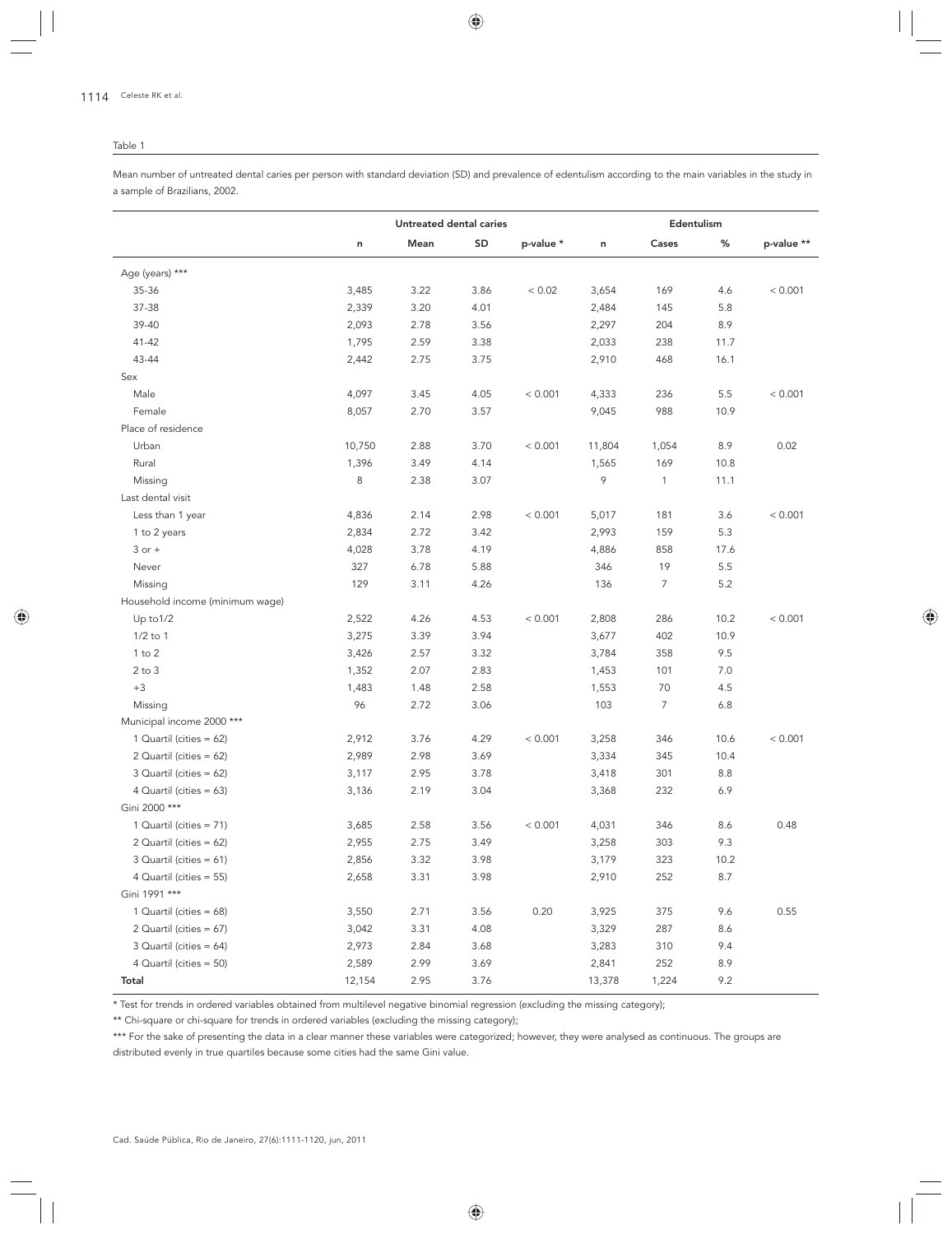#### Table 1

Mean number of untreated dental caries per person with standard deviation (SD) and prevalence of edentulism according to the main variables in the study in a sample of Brazilians, 2002.

|                                 |        | Untreated dental caries |      |           |        | Edentulism |      |            |
|---------------------------------|--------|-------------------------|------|-----------|--------|------------|------|------------|
|                                 | n      | Mean                    | SD   | p-value * | n      | Cases      | %    | p-value ** |
| Age (years) ***                 |        |                         |      |           |        |            |      |            |
| 35-36                           | 3,485  | 3.22                    | 3.86 | < 0.02    | 3,654  | 169        | 4.6  | < 0.001    |
| 37-38                           | 2,339  | 3.20                    | 4.01 |           | 2,484  | 145        | 5.8  |            |
| 39-40                           | 2,093  | 2.78                    | 3.56 |           | 2,297  | 204        | 8.9  |            |
| 41-42                           | 1,795  | 2.59                    | 3.38 |           | 2,033  | 238        | 11.7 |            |
| 43-44                           | 2,442  | 2.75                    | 3.75 |           | 2,910  | 468        | 16.1 |            |
| Sex                             |        |                         |      |           |        |            |      |            |
| Male                            | 4,097  | 3.45                    | 4.05 | < 0.001   | 4,333  | 236        | 5.5  | < 0.001    |
| Female                          | 8,057  | 2.70                    | 3.57 |           | 9,045  | 988        | 10.9 |            |
| Place of residence              |        |                         |      |           |        |            |      |            |
| Urban                           | 10,750 | 2.88                    | 3.70 | < 0.001   | 11,804 | 1,054      | 8.9  | 0.02       |
| Rural                           | 1,396  | 3.49                    | 4.14 |           | 1,565  | 169        | 10.8 |            |
| Missing                         | 8      | 2.38                    | 3.07 |           | 9      | 1          | 11.1 |            |
| Last dental visit               |        |                         |      |           |        |            |      |            |
| Less than 1 year                | 4,836  | 2.14                    | 2.98 | < 0.001   | 5,017  | 181        | 3.6  | < 0.001    |
| 1 to 2 years                    | 2,834  | 2.72                    | 3.42 |           | 2,993  | 159        | 5.3  |            |
| $3$ or $+$                      | 4,028  | 3.78                    | 4.19 |           | 4,886  | 858        | 17.6 |            |
| Never                           | 327    | 6.78                    | 5.88 |           | 346    | 19         | 5.5  |            |
| Missing                         | 129    | 3.11                    | 4.26 |           | 136    | 7          | 5.2  |            |
| Household income (minimum wage) |        |                         |      |           |        |            |      |            |
| Up to 1/2                       | 2,522  | 4.26                    | 4.53 | < 0.001   | 2,808  | 286        | 10.2 | < 0.001    |
| $1/2$ to $1$                    | 3,275  | 3.39                    | 3.94 |           | 3,677  | 402        | 10.9 |            |
| $1$ to $2$                      | 3,426  | 2.57                    | 3.32 |           | 3,784  | 358        | 9.5  |            |
| $2$ to $3$                      | 1,352  | 2.07                    | 2.83 |           | 1,453  | 101        | 7.0  |            |
| $+3$                            | 1,483  | 1.48                    | 2.58 |           | 1,553  | 70         | 4.5  |            |
| Missing                         | 96     | 2.72                    | 3.06 |           | 103    | 7          | 6.8  |            |
| Municipal income 2000 ***       |        |                         |      |           |        |            |      |            |
| 1 Quartil (cities = 62)         | 2,912  | 3.76                    | 4.29 | < 0.001   | 3,258  | 346        | 10.6 | < 0.001    |
| 2 Quartil (cities = 62)         | 2,989  | 2.98                    | 3.69 |           | 3,334  | 345        | 10.4 |            |
| 3 Quartil (cities = $62$ )      | 3,117  | 2.95                    | 3.78 |           | 3,418  | 301        | 8.8  |            |
| 4 Quartil (cities = $63$ )      | 3,136  | 2.19                    | 3.04 |           | 3,368  | 232        | 6.9  |            |
| Gini 2000 ***                   |        |                         |      |           |        |            |      |            |
| 1 Quartil (cities = 71)         | 3,685  | 2.58                    | 3.56 | < 0.001   | 4,031  | 346        | 8.6  | 0.48       |
| 2 Quartil (cities = 62)         | 2,955  | 2.75                    | 3.49 |           | 3,258  | 303        | 9.3  |            |
| 3 Quartil (cities = $61$ )      | 2,856  | 3.32                    | 3.98 |           | 3,179  | 323        | 10.2 |            |
| 4 Quartil (cities = 55)         | 2,658  | 3.31                    | 3.98 |           | 2,910  | 252        | 8.7  |            |
| Gini 1991 ***                   |        |                         |      |           |        |            |      |            |
| 1 Quartil (cities = $68$ )      | 3,550  | 2.71                    | 3.56 | 0.20      | 3,925  | 375        | 9.6  | 0.55       |
| 2 Quartil (cities = 67)         | 3,042  | 3.31                    | 4.08 |           | 3,329  | 287        | 8.6  |            |
| 3 Quartil (cities = 64)         | 2,973  | 2.84                    | 3.68 |           | 3,283  | 310        | 9.4  |            |
| 4 Quartil (cities = 50)         | 2,589  | 2.99                    | 3.69 |           | 2,841  | 252        | 8.9  |            |
| Total                           | 12,154 | 2.95                    | 3.76 |           | 13,378 | 1,224      | 9.2  |            |

\* Test for trends in ordered variables obtained from multilevel negative binomial regression (excluding the missing category);

\*\* Chi-square or chi-square for trends in ordered variables (excluding the missing category);

\*\*\* For the sake of presenting the data in a clear manner these variables were categorized; however, they were analysed as continuous. The groups are distributed evenly in true quartiles because some cities had the same Gini value.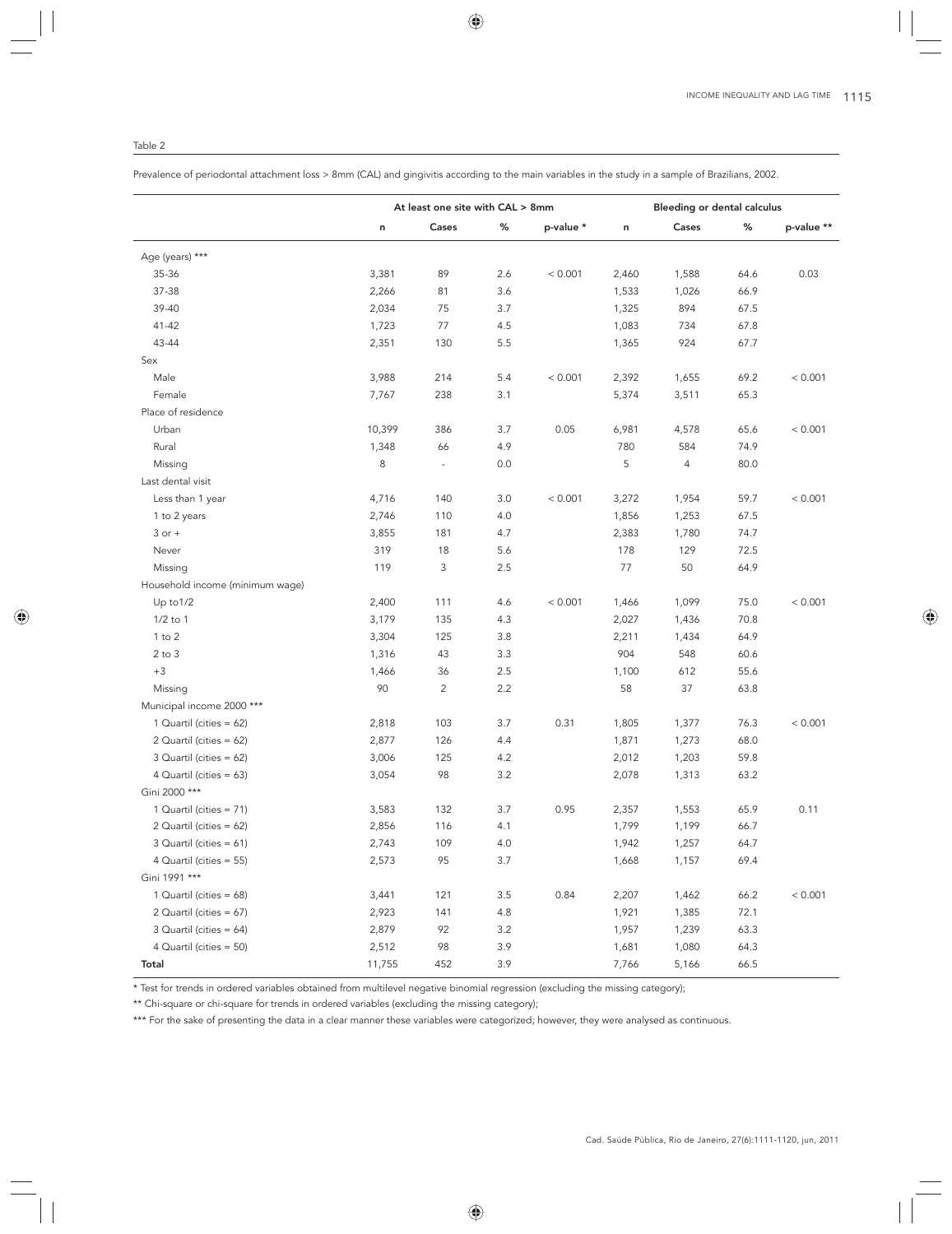Prevalence of periodontal attachment loss > 8mm (CAL) and gingivitis according to the main variables in the study in a sample of Brazilians, 2002.

|                                 |        | At least one site with CAL > 8mm |     |           |       | Bleeding or dental calculus |      |            |
|---------------------------------|--------|----------------------------------|-----|-----------|-------|-----------------------------|------|------------|
|                                 | n      | Cases                            | ℅   | p-value * | n     | Cases                       | %    | p-value ** |
| Age (years) ***                 |        |                                  |     |           |       |                             |      |            |
| 35-36                           | 3,381  | 89                               | 2.6 | < 0.001   | 2,460 | 1,588                       | 64.6 | 0.03       |
| 37-38                           | 2,266  | 81                               | 3.6 |           | 1,533 | 1,026                       | 66.9 |            |
| 39-40                           | 2,034  | 75                               | 3.7 |           | 1,325 | 894                         | 67.5 |            |
| 41-42                           | 1,723  | 77                               | 4.5 |           | 1,083 | 734                         | 67.8 |            |
| 43-44                           | 2,351  | 130                              | 5.5 |           | 1,365 | 924                         | 67.7 |            |
| Sex                             |        |                                  |     |           |       |                             |      |            |
| Male                            | 3,988  | 214                              | 5.4 | < 0.001   | 2,392 | 1,655                       | 69.2 | < 0.001    |
| Female                          | 7,767  | 238                              | 3.1 |           | 5,374 | 3,511                       | 65.3 |            |
| Place of residence              |        |                                  |     |           |       |                             |      |            |
| Urban                           | 10,399 | 386                              | 3.7 | 0.05      | 6,981 | 4,578                       | 65.6 | < 0.001    |
| Rural                           | 1,348  | 66                               | 4.9 |           | 780   | 584                         | 74.9 |            |
| Missing                         | 8      | $\overline{\phantom{a}}$         | 0.0 |           | 5     | 4                           | 80.0 |            |
| Last dental visit               |        |                                  |     |           |       |                             |      |            |
| Less than 1 year                | 4,716  | 140                              | 3.0 | < 0.001   | 3,272 | 1,954                       | 59.7 | < 0.001    |
| 1 to 2 years                    | 2,746  | 110                              | 4.0 |           | 1,856 | 1,253                       | 67.5 |            |
| $3$ or $+$                      | 3,855  | 181                              | 4.7 |           | 2,383 | 1,780                       | 74.7 |            |
| Never                           | 319    | 18                               | 5.6 |           | 178   | 129                         | 72.5 |            |
| Missing                         | 119    | 3                                | 2.5 |           | 77    | 50                          | 64.9 |            |
| Household income (minimum wage) |        |                                  |     |           |       |                             |      |            |
| Up to 1/2                       | 2,400  | 111                              | 4.6 | < 0.001   | 1,466 | 1,099                       | 75.0 | < 0.001    |
| $1/2$ to $1$                    | 3,179  | 135                              | 4.3 |           | 2,027 | 1,436                       | 70.8 |            |
| $1$ to $2$                      | 3,304  | 125                              | 3.8 |           | 2,211 | 1,434                       | 64.9 |            |
| $2$ to $3$                      | 1,316  | 43                               | 3.3 |           | 904   | 548                         | 60.6 |            |
| $+3$                            | 1,466  | 36                               | 2.5 |           | 1,100 | 612                         | 55.6 |            |
| Missing                         | 90     | $\overline{c}$                   | 2.2 |           | 58    | 37                          | 63.8 |            |
| Municipal income 2000 ***       |        |                                  |     |           |       |                             |      |            |
| 1 Quartil (cities = 62)         | 2,818  | 103                              | 3.7 | 0.31      | 1,805 | 1,377                       | 76.3 | < 0.001    |
| 2 Quartil (cities = 62)         | 2,877  | 126                              | 4.4 |           | 1,871 | 1,273                       | 68.0 |            |
| 3 Quartil (cities = 62)         | 3,006  | 125                              | 4.2 |           | 2,012 | 1,203                       | 59.8 |            |
| 4 Quartil (cities = 63)         | 3,054  | 98                               | 3.2 |           | 2,078 | 1,313                       | 63.2 |            |
| Gini 2000 ***                   |        |                                  |     |           |       |                             |      |            |
| 1 Quartil (cities = 71)         | 3,583  | 132                              | 3.7 | 0.95      | 2,357 | 1,553                       | 65.9 | 0.11       |
| 2 Quartil (cities = 62)         | 2,856  | 116                              | 4.1 |           | 1,799 | 1,199                       | 66.7 |            |
| $3$ Quartil (cities = 61)       | 2,743  | 109                              | 4.0 |           | 1,942 | 1,257                       | 64.7 |            |
| 4 Quartil (cities = 55)         | 2,573  | 95                               | 3.7 |           | 1,668 | 1,157                       | 69.4 |            |
| Gini 1991 ***                   |        |                                  |     |           |       |                             |      |            |
| 1 Quartil (cities = 68)         | 3,441  | 121                              | 3.5 | 0.84      | 2,207 | 1,462                       | 66.2 | < 0.001    |
| 2 Quartil (cities = 67)         | 2,923  | 141                              | 4.8 |           | 1,921 | 1,385                       | 72.1 |            |
| 3 Quartil (cities = $64$ )      | 2,879  | 92                               | 3.2 |           | 1,957 | 1,239                       | 63.3 |            |
| 4 Quartil (cities = 50)         | 2,512  | 98                               | 3.9 |           | 1,681 | 1,080                       | 64.3 |            |
| Total                           | 11,755 | 452                              | 3.9 |           | 7,766 | 5,166                       | 66.5 |            |

\* Test for trends in ordered variables obtained from multilevel negative binomial regression (excluding the missing category);

\*\* Chi-square or chi-square for trends in ordered variables (excluding the missing category);

\*\*\* For the sake of presenting the data in a clear manner these variables were categorized; however, they were analysed as continuous.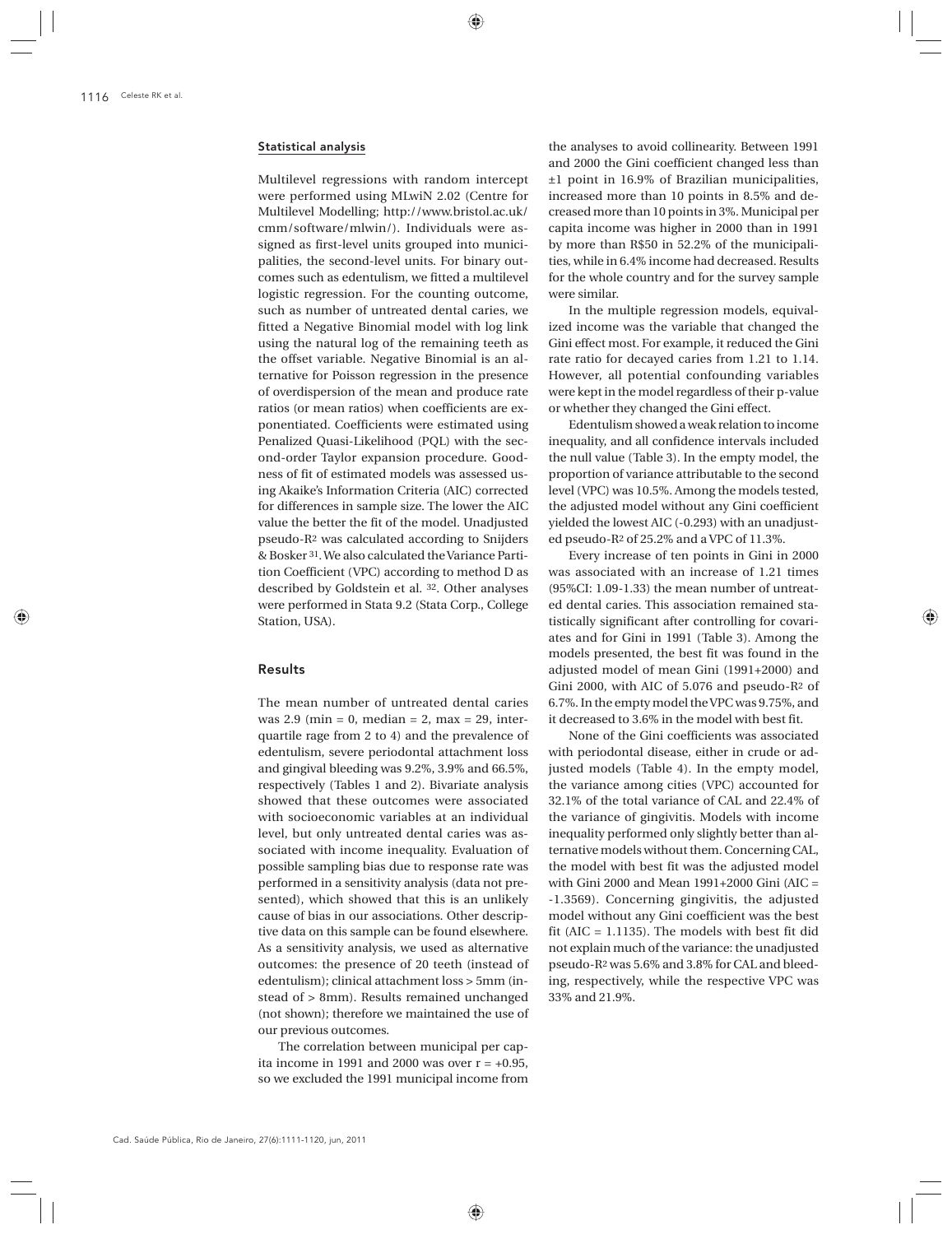# Statistical analysis

Multilevel regressions with random intercept were performed using MLwiN 2.02 (Centre for Multilevel Modelling; http://www.bristol.ac.uk/ cmm/software/mlwin/). Individuals were assigned as first-level units grouped into municipalities, the second-level units. For binary outcomes such as edentulism, we fitted a multilevel logistic regression. For the counting outcome, such as number of untreated dental caries, we fitted a Negative Binomial model with log link using the natural log of the remaining teeth as the offset variable. Negative Binomial is an alternative for Poisson regression in the presence of overdispersion of the mean and produce rate ratios (or mean ratios) when coefficients are exponentiated. Coefficients were estimated using Penalized Quasi-Likelihood (PQL) with the second-order Taylor expansion procedure. Goodness of fit of estimated models was assessed using Akaike's Information Criteria (AIC) corrected for differences in sample size. The lower the AIC value the better the fit of the model. Unadjusted pseudo-R2 was calculated according to Snijders & Bosker 31. We also calculated the Variance Partition Coefficient (VPC) according to method D as described by Goldstein et al. 32. Other analyses were performed in Stata 9.2 (Stata Corp., College Station, USA).

# Results

The mean number of untreated dental caries was  $2.9 \text{ (min = 0, median = 2, max = 29, inter-}$ quartile rage from 2 to 4) and the prevalence of edentulism, severe periodontal attachment loss and gingival bleeding was 9.2%, 3.9% and 66.5%, respectively (Tables 1 and 2). Bivariate analysis showed that these outcomes were associated with socioeconomic variables at an individual level, but only untreated dental caries was associated with income inequality. Evaluation of possible sampling bias due to response rate was performed in a sensitivity analysis (data not presented), which showed that this is an unlikely cause of bias in our associations. Other descriptive data on this sample can be found elsewhere. As a sensitivity analysis, we used as alternative outcomes: the presence of 20 teeth (instead of edentulism); clinical attachment loss > 5mm (instead of > 8mm). Results remained unchanged (not shown); therefore we maintained the use of our previous outcomes.

The correlation between municipal per capita income in 1991 and 2000 was over  $r = +0.95$ , so we excluded the 1991 municipal income from

the analyses to avoid collinearity. Between 1991 and 2000 the Gini coefficient changed less than ±1 point in 16.9% of Brazilian municipalities, increased more than 10 points in 8.5% and decreased more than 10 points in 3%. Municipal per capita income was higher in 2000 than in 1991 by more than R\$50 in 52.2% of the municipalities, while in 6.4% income had decreased. Results for the whole country and for the survey sample were similar.

In the multiple regression models, equivalized income was the variable that changed the Gini effect most. For example, it reduced the Gini rate ratio for decayed caries from 1.21 to 1.14. However, all potential confounding variables were kept in the model regardless of their p-value or whether they changed the Gini effect.

Edentulism showed a weak relation to income inequality, and all confidence intervals included the null value (Table 3). In the empty model, the proportion of variance attributable to the second level (VPC) was 10.5%. Among the models tested, the adjusted model without any Gini coefficient yielded the lowest AIC (-0.293) with an unadjusted pseudo-R2 of 25.2% and a VPC of 11.3%.

Every increase of ten points in Gini in 2000 was associated with an increase of 1.21 times (95%CI: 1.09-1.33) the mean number of untreated dental caries. This association remained statistically significant after controlling for covariates and for Gini in 1991 (Table 3). Among the models presented, the best fit was found in the adjusted model of mean Gini (1991+2000) and Gini 2000, with AIC of 5.076 and pseudo-R2 of 6.7%. In the empty model the VPC was 9.75%, and it decreased to 3.6% in the model with best fit.

None of the Gini coefficients was associated with periodontal disease, either in crude or adjusted models (Table 4). In the empty model, the variance among cities (VPC) accounted for 32.1% of the total variance of CAL and 22.4% of the variance of gingivitis. Models with income inequality performed only slightly better than alternative models without them. Concerning CAL, the model with best fit was the adjusted model with Gini 2000 and Mean 1991+2000 Gini (AIC = -1.3569). Concerning gingivitis, the adjusted model without any Gini coefficient was the best fit (AIC = 1.1135). The models with best fit did not explain much of the variance: the unadjusted pseudo-R2 was 5.6% and 3.8% for CAL and bleeding, respectively, while the respective VPC was 33% and 21.9%.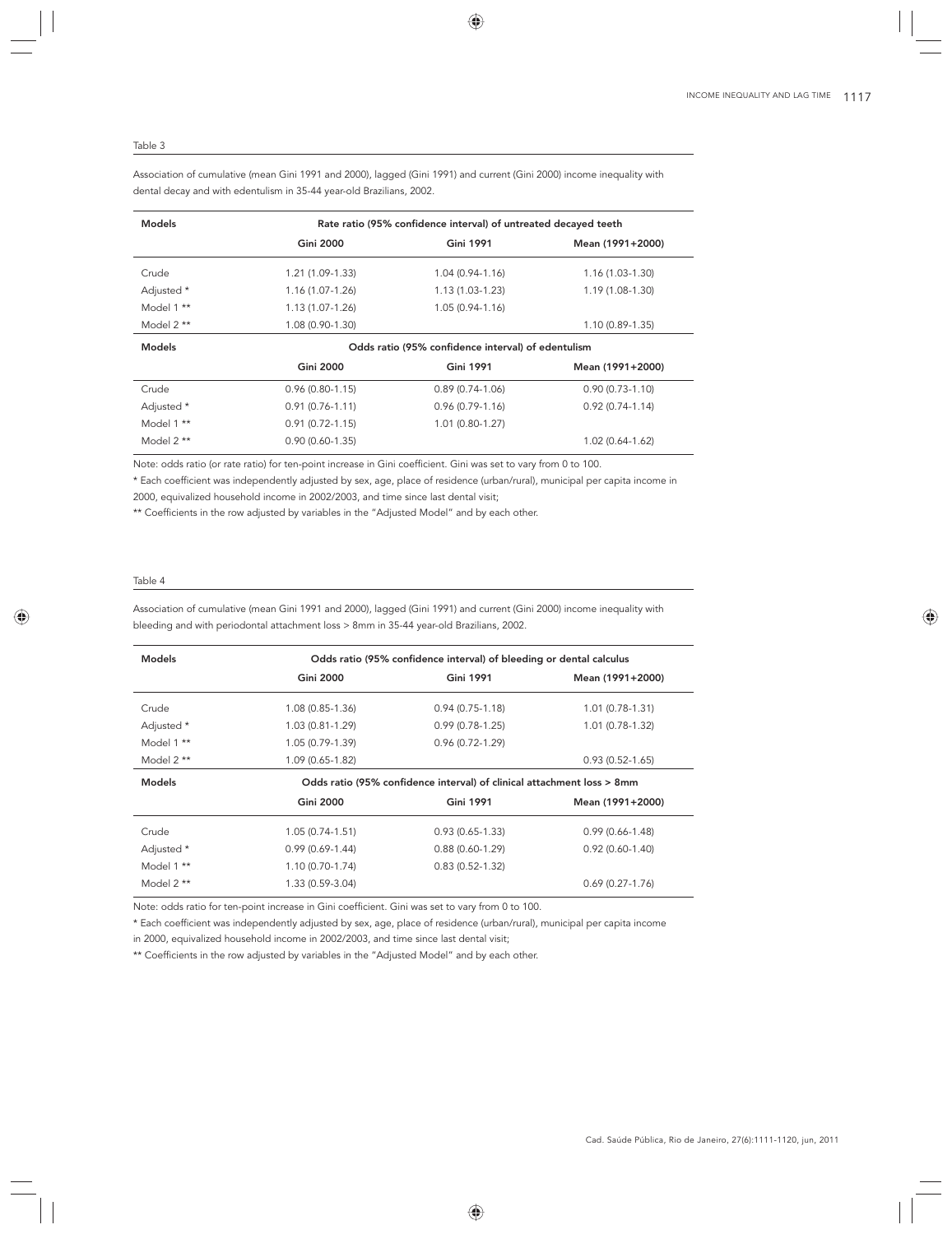#### Table 3

Association of cumulative (mean Gini 1991 and 2000), lagged (Gini 1991) and current (Gini 2000) income inequality with dental decay and with edentulism in 35-44 year-old Brazilians, 2002.

| <b>Models</b> |                     | Rate ratio (95% confidence interval) of untreated decayed teeth |                     |
|---------------|---------------------|-----------------------------------------------------------------|---------------------|
|               | <b>Gini 2000</b>    | <b>Gini 1991</b>                                                | Mean (1991+2000)    |
| Crude         | 1.21 (1.09-1.33)    | $1.04(0.94-1.16)$                                               | 1.16 (1.03-1.30)    |
| Adjusted *    | 1.16 (1.07-1.26)    | $1.13(1.03-1.23)$                                               | $1.19(1.08-1.30)$   |
| Model 1 **    | $1.13(1.07-1.26)$   | $1.05(0.94 - 1.16)$                                             |                     |
| Model $2**$   | 1.08 (0.90-1.30)    |                                                                 | $1.10(0.89-1.35)$   |
| <b>Models</b> |                     | Odds ratio (95% confidence interval) of edentulism              |                     |
|               | <b>Gini 2000</b>    | <b>Gini 1991</b>                                                | Mean (1991+2000)    |
| Crude         | $0.96(0.80-1.15)$   | $0.89(0.74-1.06)$                                               | $0.90(0.73 - 1.10)$ |
| Adjusted *    | $0.91(0.76 - 1.11)$ | $0.96(0.79-1.16)$                                               | $0.92(0.74-1.14)$   |
| Model 1 **    | $0.91(0.72 - 1.15)$ | $1.01(0.80-1.27)$                                               |                     |
| Model 2 **    | $0.90(0.60-1.35)$   |                                                                 | $1.02(0.64-1.62)$   |

Note: odds ratio (or rate ratio) for ten-point increase in Gini coefficient. Gini was set to vary from 0 to 100.

\* Each coefficient was independently adjusted by sex, age, place of residence (urban/rural), municipal per capita income in

2000, equivalized household income in 2002/2003, and time since last dental visit;

\*\* Coefficients in the row adjusted by variables in the "Adjusted Model" and by each other.

### Table 4

Association of cumulative (mean Gini 1991 and 2000), lagged (Gini 1991) and current (Gini 2000) income inequality with bleeding and with periodontal attachment loss > 8mm in 35-44 year-old Brazilians, 2002.

| <b>Models</b>            | Odds ratio (95% confidence interval) of bleeding or dental calculus |                                                                        |                     |  |  |  |  |
|--------------------------|---------------------------------------------------------------------|------------------------------------------------------------------------|---------------------|--|--|--|--|
|                          | <b>Gini 2000</b>                                                    | <b>Gini 1991</b>                                                       | Mean (1991+2000)    |  |  |  |  |
| Crude                    | $1.08(0.85-1.36)$                                                   | $0.94(0.75-1.18)$                                                      | $1.01(0.78-1.31)$   |  |  |  |  |
| Adjusted *               | 1.03 (0.81-1.29)                                                    | $0.99(0.78-1.25)$                                                      | 1.01 (0.78-1.32)    |  |  |  |  |
| Model 1 **               | 1.05 (0.79-1.39)                                                    | $0.96(0.72 - 1.29)$                                                    |                     |  |  |  |  |
| Model $2**$              | 1.09 (0.65-1.82)                                                    |                                                                        | $0.93(0.52 - 1.65)$ |  |  |  |  |
| <b>Models</b>            |                                                                     | Odds ratio (95% confidence interval) of clinical attachment loss > 8mm |                     |  |  |  |  |
|                          |                                                                     |                                                                        |                     |  |  |  |  |
|                          | <b>Gini 2000</b>                                                    | <b>Gini 1991</b>                                                       | Mean (1991+2000)    |  |  |  |  |
| Crude                    | $1.05(0.74-1.51)$                                                   | $0.93(0.65-1.33)$                                                      | $0.99(0.66 - 1.48)$ |  |  |  |  |
|                          | $0.99(0.69-1.44)$                                                   | $0.88(0.60-1.29)$                                                      | $0.92(0.60-1.40)$   |  |  |  |  |
| Adjusted *<br>Model 1 ** | $1.10(0.70-1.74)$                                                   | $0.83(0.52 - 1.32)$                                                    |                     |  |  |  |  |

Note: odds ratio for ten-point increase in Gini coefficient. Gini was set to vary from 0 to 100.

\* Each coefficient was independently adjusted by sex, age, place of residence (urban/rural), municipal per capita income

in 2000, equivalized household income in 2002/2003, and time since last dental visit;

\*\* Coefficients in the row adjusted by variables in the "Adjusted Model" and by each other.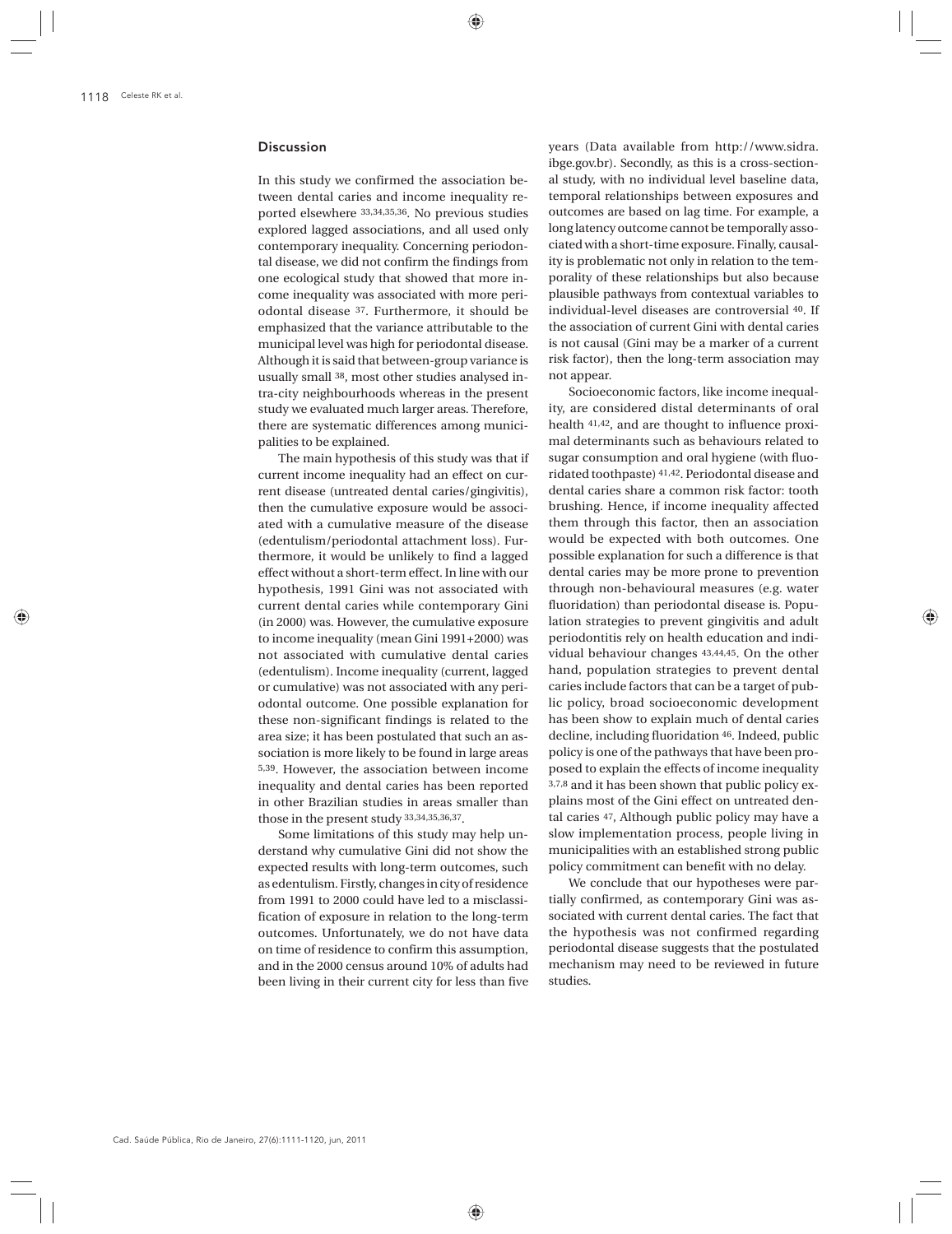# Discussion

In this study we confirmed the association between dental caries and income inequality reported elsewhere 33,34,35,36. No previous studies explored lagged associations, and all used only contemporary inequality. Concerning periodontal disease, we did not confirm the findings from one ecological study that showed that more income inequality was associated with more periodontal disease 37. Furthermore, it should be emphasized that the variance attributable to the municipal level was high for periodontal disease. Although it is said that between-group variance is usually small 38, most other studies analysed intra-city neighbourhoods whereas in the present study we evaluated much larger areas. Therefore, there are systematic differences among municipalities to be explained.

The main hypothesis of this study was that if current income inequality had an effect on current disease (untreated dental caries/gingivitis), then the cumulative exposure would be associated with a cumulative measure of the disease (edentulism/periodontal attachment loss). Furthermore, it would be unlikely to find a lagged effect without a short-term effect. In line with our hypothesis, 1991 Gini was not associated with current dental caries while contemporary Gini (in 2000) was. However, the cumulative exposure to income inequality (mean Gini 1991+2000) was not associated with cumulative dental caries (edentulism). Income inequality (current, lagged or cumulative) was not associated with any periodontal outcome. One possible explanation for these non-significant findings is related to the area size; it has been postulated that such an association is more likely to be found in large areas 5,39. However, the association between income inequality and dental caries has been reported in other Brazilian studies in areas smaller than those in the present study 33,34,35,36,37.

Some limitations of this study may help understand why cumulative Gini did not show the expected results with long-term outcomes, such as edentulism. Firstly, changes in city of residence from 1991 to 2000 could have led to a misclassification of exposure in relation to the long-term outcomes. Unfortunately, we do not have data on time of residence to confirm this assumption, and in the 2000 census around 10% of adults had been living in their current city for less than five years (Data available from http://www.sidra. ibge.gov.br). Secondly, as this is a cross-sectional study, with no individual level baseline data, temporal relationships between exposures and outcomes are based on lag time. For example, a long latency outcome cannot be temporally associated with a short-time exposure. Finally, causality is problematic not only in relation to the temporality of these relationships but also because plausible pathways from contextual variables to individual-level diseases are controversial 40. If the association of current Gini with dental caries is not causal (Gini may be a marker of a current risk factor), then the long-term association may not appear.

Socioeconomic factors, like income inequality, are considered distal determinants of oral health 41,42, and are thought to influence proximal determinants such as behaviours related to sugar consumption and oral hygiene (with fluoridated toothpaste) 41,42. Periodontal disease and dental caries share a common risk factor: tooth brushing. Hence, if income inequality affected them through this factor, then an association would be expected with both outcomes. One possible explanation for such a difference is that dental caries may be more prone to prevention through non-behavioural measures (e.g. water fluoridation) than periodontal disease is. Population strategies to prevent gingivitis and adult periodontitis rely on health education and individual behaviour changes 43,44,45. On the other hand, population strategies to prevent dental caries include factors that can be a target of public policy, broad socioeconomic development has been show to explain much of dental caries decline, including fluoridation 46. Indeed, public policy is one of the pathways that have been proposed to explain the effects of income inequality 3,7,8 and it has been shown that public policy explains most of the Gini effect on untreated dental caries 47, Although public policy may have a slow implementation process, people living in municipalities with an established strong public policy commitment can benefit with no delay.

We conclude that our hypotheses were partially confirmed, as contemporary Gini was associated with current dental caries. The fact that the hypothesis was not confirmed regarding periodontal disease suggests that the postulated mechanism may need to be reviewed in future studies.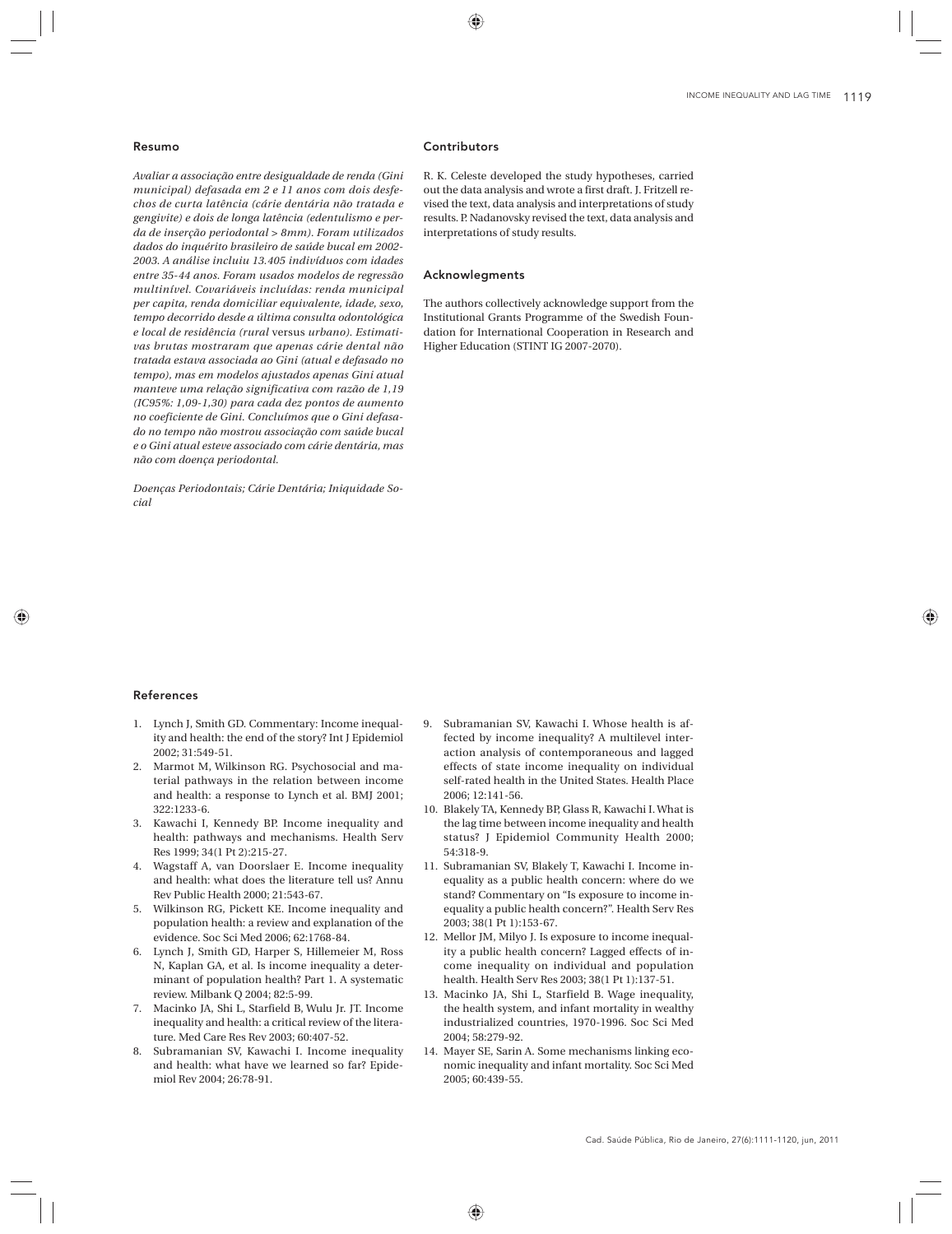#### Resumo

*Avaliar a associação entre desigualdade de renda (Gini municipal) defasada em 2 e 11 anos com dois desfechos de curta latência (cárie dentária não tratada e gengivite) e dois de longa latência (edentulismo e perda de inserção periodontal > 8mm). Foram utilizados dados do inquérito brasileiro de saúde bucal em 2002- 2003. A análise incluiu 13.405 indivíduos com idades entre 35-44 anos. Foram usados modelos de regressão multinível. Covariáveis incluídas: renda municipal per capita, renda domiciliar equivalente, idade, sexo, tempo decorrido desde a última consulta odontológica e local de residência (rural* versus *urbano). Estimativas brutas mostraram que apenas cárie dental não tratada estava associada ao Gini (atual e defasado no tempo), mas em modelos ajustados apenas Gini atual manteve uma relação significativa com razão de 1,19 (IC95%: 1,09-1,30) para cada dez pontos de aumento no coeficiente de Gini. Concluímos que o Gini defasado no tempo não mostrou associação com saúde bucal e o Gini atual esteve associado com cárie dentária, mas não com doença periodontal.*

*Doenças Periodontais; Cárie Dentária; Iniquidade Social*

### Contributors

R. K. Celeste developed the study hypotheses, carried out the data analysis and wrote a first draft. J. Fritzell revised the text, data analysis and interpretations of study results. P. Nadanovsky revised the text, data analysis and interpretations of study results.

#### Acknowlegments

The authors collectively acknowledge support from the Institutional Grants Programme of the Swedish Foundation for International Cooperation in Research and Higher Education (STINT IG 2007-2070).

#### References

- 1. Lynch J, Smith GD. Commentary: Income inequality and health: the end of the story? Int J Epidemiol 2002; 31:549-51.
- 2. Marmot M, Wilkinson RG. Psychosocial and material pathways in the relation between income and health: a response to Lynch et al. BMJ 2001; 322:1233-6.
- 3. Kawachi I, Kennedy BP. Income inequality and health: pathways and mechanisms. Health Serv Res 1999; 34(1 Pt 2):215-27.
- 4. Wagstaff A, van Doorslaer E. Income inequality and health: what does the literature tell us? Annu Rev Public Health 2000; 21:543-67.
- 5. Wilkinson RG, Pickett KE. Income inequality and population health: a review and explanation of the evidence. Soc Sci Med 2006; 62:1768-84.
- 6. Lynch J, Smith GD, Harper S, Hillemeier M, Ross N, Kaplan GA, et al. Is income inequality a determinant of population health? Part 1. A systematic review. Milbank Q 2004; 82:5-99.
- 7. Macinko JA, Shi L, Starfield B, Wulu Jr. JT. Income inequality and health: a critical review of the literature. Med Care Res Rev 2003; 60:407-52.
- 8. Subramanian SV, Kawachi I. Income inequality and health: what have we learned so far? Epidemiol Rev 2004; 26:78-91.
- 9. Subramanian SV, Kawachi I. Whose health is affected by income inequality? A multilevel interaction analysis of contemporaneous and lagged effects of state income inequality on individual self-rated health in the United States. Health Place 2006; 12:141-56.
- 10. Blakely TA, Kennedy BP, Glass R, Kawachi I. What is the lag time between income inequality and health status? J Epidemiol Community Health 2000; 54:318-9.
- 11. Subramanian SV, Blakely T, Kawachi I. Income inequality as a public health concern: where do we stand? Commentary on "Is exposure to income inequality a public health concern?". Health Serv Res 2003; 38(1 Pt 1):153-67.
- 12. Mellor JM, Milyo J. Is exposure to income inequality a public health concern? Lagged effects of income inequality on individual and population health. Health Serv Res 2003; 38(1 Pt 1):137-51.
- 13. Macinko JA, Shi L, Starfield B. Wage inequality, the health system, and infant mortality in wealthy industrialized countries, 1970-1996. Soc Sci Med 2004; 58:279-92.
- 14. Mayer SE, Sarin A. Some mechanisms linking economic inequality and infant mortality. Soc Sci Med 2005; 60:439-55.